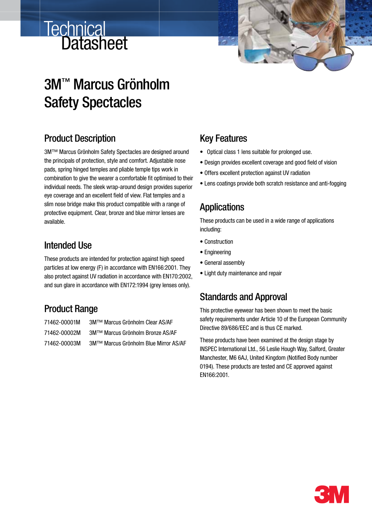# Technical<br>Datasheet



# 3M™ Marcus Grönholm Safety Spectacles

# Product Description

3M™ Marcus Grönholm Safety Spectacles are designed around the principals of protection, style and comfort. Adjustable nose pads, spring hinged temples and pliable temple tips work in combination to give the wearer a comfortable fit optimised to their individual needs. The sleek wrap-around design provides superior eye coverage and an excellent field of view. Flat temples and a slim nose bridge make this product compatible with a range of protective equipment. Clear, bronze and blue mirror lenses are available.

#### Intended Use

These products are intended for protection against high speed particles at low energy (F) in accordance with EN166:2001. They also protect against UV radiation in accordance with EN170:2002, and sun glare in accordance with EN172:1994 (grey lenses only).

# Product Range

| 71462-00001M | 3M™ Marcus Grönholm Clear AS/AF       |
|--------------|---------------------------------------|
| 71462-00002M | 3M™ Marcus Grönholm Bronze AS/AF      |
| 71462-00003M | 3M™ Marcus Grönholm Blue Mirror AS/AF |

#### Key Features

- • Optical class 1 lens suitable for prolonged use.
- Design provides excellent coverage and good field of vision
- Offers excellent protection against UV radiation
- Lens coatings provide both scratch resistance and anti-fogging

#### **Applications**

These products can be used in a wide range of applications including:

- Construction
- Engineering
- General assembly
- Light duty maintenance and repair

# Standards and Approval

This protective eyewear has been shown to meet the basic safety requirements under Article 10 of the European Community Directive 89/686/EEC and is thus CE marked.

These products have been examined at the design stage by INSPEC International Ltd., 56 Leslie Hough Way, Salford, Greater Manchester, M6 6AJ, United Kingdom (Notified Body number 0194). These products are tested and CE approved against EN166:2001.